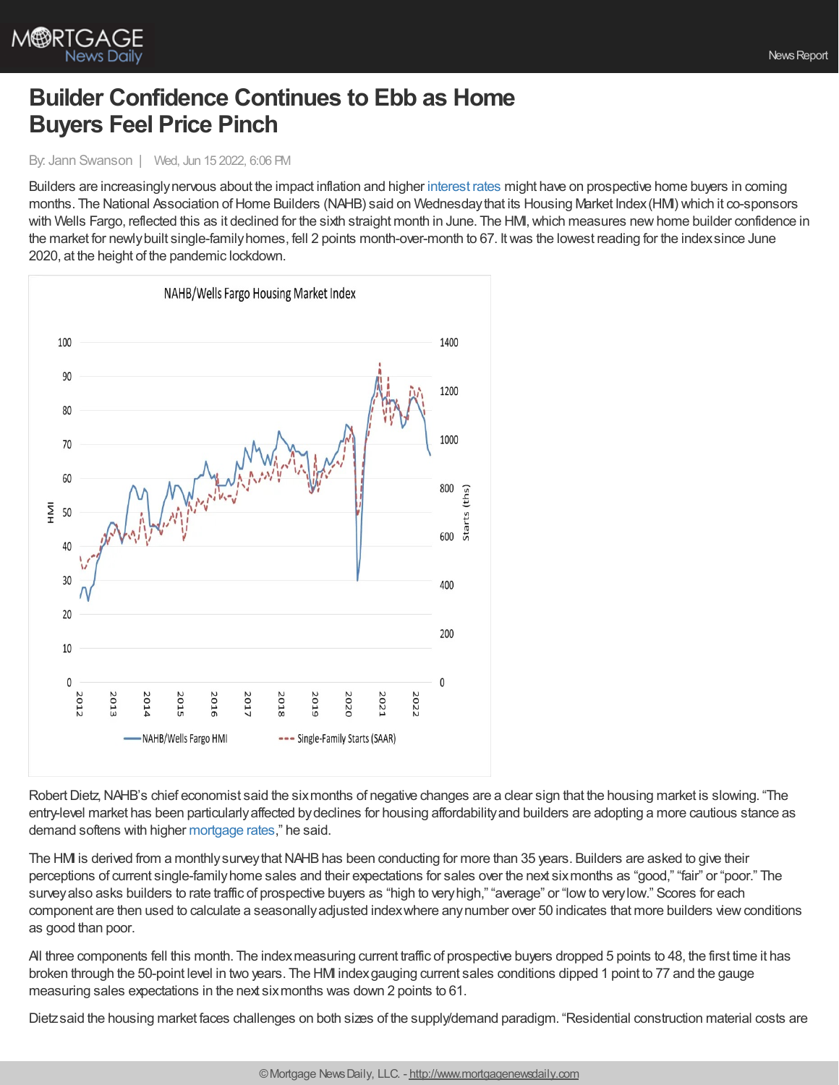

## **Builder Confidence Continues to Ebb as Home Buyers Feel Price Pinch**

By: Jann Swanson | Wed, Jun 15 2022, 6:06 PM

Builders are increasinglynervous about the impact inflation and higher [interest](https://www.mortgagenewsdaily.com/mortgage-rates) rates might have on prospective home buyers in coming months. The National Association of Home Builders (NAHB) said on Wednesday that its Housing Market Index (HMI) which it co-sponsors with Wells Fargo, reflected this as it declined for the sixth straight month in June. The HMI, which measures new home builder confidence in the market for newlybuilt single-familyhomes, fell 2 points month-over-month to 67. Itwas the lowest reading for the indexsince June 2020, at the height of the pandemic lockdown.



Robert Dietz, NAHB's chief economist said the six months of negative changes are a clear sign that the housing market is slowing. "The entry-level market has been particularlyaffected bydeclines for housing affordabilityand builders are adopting a more cautious stance as demand softens with higher [mortgage](https://www.mortgagenewsdaily.com/mortgage-rates) rates," he said.

The HMI is derived from a monthly survey that NAHB has been conducting for more than 35 years. Builders are asked to give their perceptions of current single-familyhome sales and their expectations for sales over the next sixmonths as "good," "fair" or "poor." The surveyalso asks builders to rate traffic of prospective buyers as "high to veryhigh," "average" or "lowto verylow." Scores for each component are then used to calculate a seasonallyadjusted indexwhere anynumber over 50 indicates that more builders viewconditions as good than poor.

All three components fell this month. The indexmeasuring current traffic of prospective buyers dropped 5 points to 48, the first time it has broken through the 50-point level in two years. The HMI indexgauging current sales conditions dipped 1 point to 77 and the gauge measuring sales expectations in the next sixmonths was down 2 points to 61.

Dietzsaid the housing market faces challenges on both sizes of the supply/demand paradigm. "Residential construction material costs are